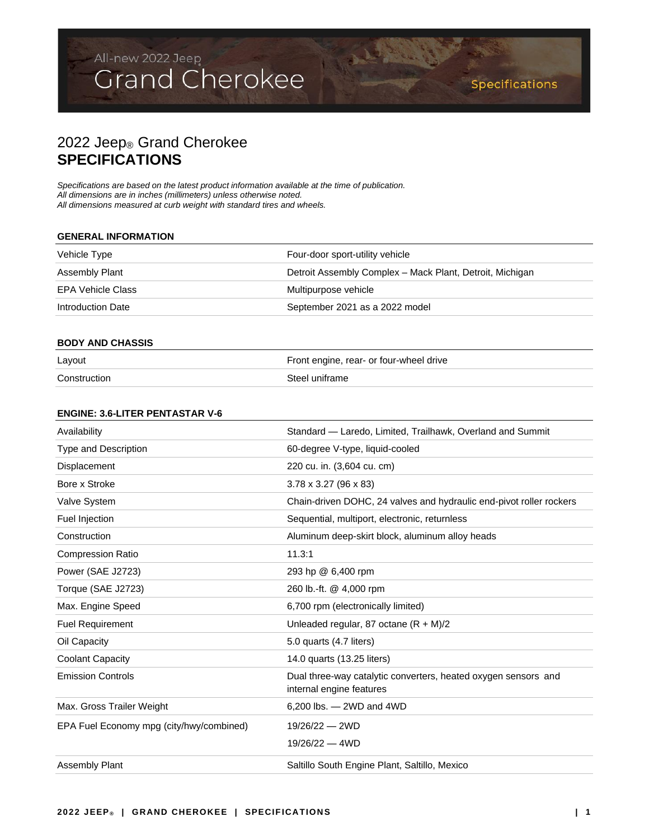## 2022 Jeep® Grand Cherokee **SPECIFICATIONS**

*Specifications are based on the latest product information available at the time of publication. All dimensions are in inches (millimeters) unless otherwise noted. All dimensions measured at curb weight with standard tires and wheels.*

### **GENERAL INFORMATION**

| Vehicle Type      | Four-door sport-utility vehicle                          |
|-------------------|----------------------------------------------------------|
| Assembly Plant    | Detroit Assembly Complex - Mack Plant, Detroit, Michigan |
| EPA Vehicle Class | Multipurpose vehicle                                     |
| Introduction Date | September 2021 as a 2022 model                           |
|                   |                                                          |

BAS NO

### **BODY AND CHASSIS**

| Layout       | Front engine, rear- or four-wheel drive |
|--------------|-----------------------------------------|
| Construction | Steel uniframe                          |

### **ENGINE: 3.6-LITER PENTASTAR V-6**

| Availability                             | Standard - Laredo, Limited, Trailhawk, Overland and Summit                                 |
|------------------------------------------|--------------------------------------------------------------------------------------------|
| <b>Type and Description</b>              | 60-degree V-type, liquid-cooled                                                            |
| Displacement                             | 220 cu. in. (3,604 cu. cm)                                                                 |
| Bore x Stroke                            | $3.78 \times 3.27$ (96 $\times$ 83)                                                        |
| Valve System                             | Chain-driven DOHC, 24 valves and hydraulic end-pivot roller rockers                        |
| Fuel Injection                           | Sequential, multiport, electronic, returnless                                              |
| Construction                             | Aluminum deep-skirt block, aluminum alloy heads                                            |
| <b>Compression Ratio</b>                 | 11.3:1                                                                                     |
| Power (SAE J2723)                        | 293 hp @ 6,400 rpm                                                                         |
| Torque (SAE J2723)                       | 260 lb.-ft. @ 4,000 rpm                                                                    |
| Max. Engine Speed                        | 6,700 rpm (electronically limited)                                                         |
| <b>Fuel Requirement</b>                  | Unleaded regular, 87 octane $(R + M)/2$                                                    |
| Oil Capacity                             | 5.0 quarts (4.7 liters)                                                                    |
| <b>Coolant Capacity</b>                  | 14.0 quarts (13.25 liters)                                                                 |
| <b>Emission Controls</b>                 | Dual three-way catalytic converters, heated oxygen sensors and<br>internal engine features |
| Max. Gross Trailer Weight                | $6,200$ lbs. $-$ 2WD and 4WD                                                               |
| EPA Fuel Economy mpg (city/hwy/combined) | $19/26/22 - 2WD$<br>$19/26/22 - 4WD$                                                       |
| <b>Assembly Plant</b>                    | Saltillo South Engine Plant, Saltillo, Mexico                                              |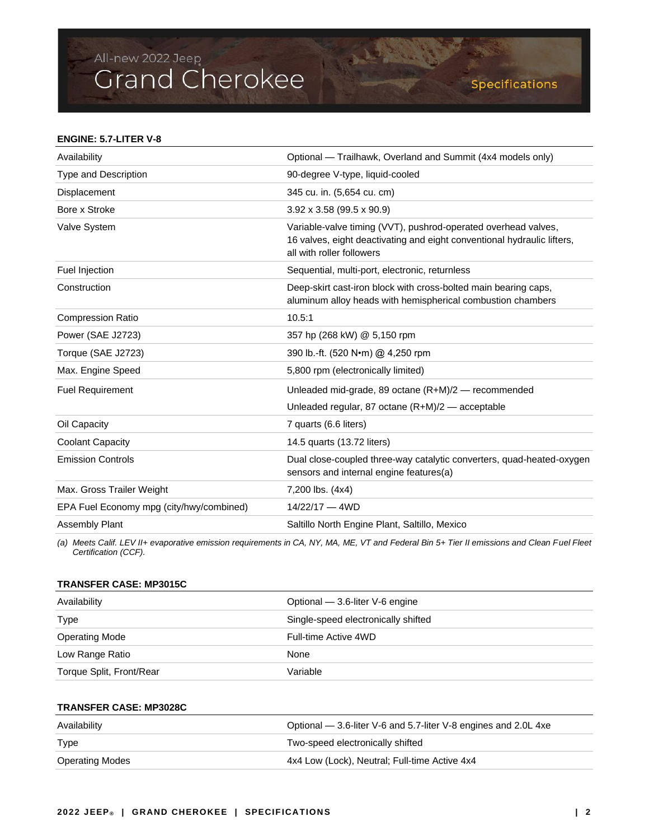### **ENGINE: 5.7-LITER V-8**

| Availability                             | Optional — Trailhawk, Overland and Summit (4x4 models only)                                                                                                            |
|------------------------------------------|------------------------------------------------------------------------------------------------------------------------------------------------------------------------|
| Type and Description                     | 90-degree V-type, liquid-cooled                                                                                                                                        |
| Displacement                             | 345 cu. in. (5,654 cu. cm)                                                                                                                                             |
| Bore x Stroke                            | $3.92 \times 3.58$ (99.5 x 90.9)                                                                                                                                       |
| Valve System                             | Variable-valve timing (VVT), pushrod-operated overhead valves,<br>16 valves, eight deactivating and eight conventional hydraulic lifters,<br>all with roller followers |
| Fuel Injection                           | Sequential, multi-port, electronic, returnless                                                                                                                         |
| Construction                             | Deep-skirt cast-iron block with cross-bolted main bearing caps,<br>aluminum alloy heads with hemispherical combustion chambers                                         |
| <b>Compression Ratio</b>                 | 10.5:1                                                                                                                                                                 |
| Power (SAE J2723)                        | 357 hp (268 kW) @ 5,150 rpm                                                                                                                                            |
| Torque (SAE J2723)                       | 390 lb.-ft. (520 N•m) @ 4,250 rpm                                                                                                                                      |
| Max. Engine Speed                        | 5,800 rpm (electronically limited)                                                                                                                                     |
| <b>Fuel Requirement</b>                  | Unleaded mid-grade, 89 octane (R+M)/2 - recommended                                                                                                                    |
|                                          | Unleaded regular, 87 octane $(R+M)/2$ — acceptable                                                                                                                     |
| Oil Capacity                             | 7 quarts (6.6 liters)                                                                                                                                                  |
| <b>Coolant Capacity</b>                  | 14.5 quarts (13.72 liters)                                                                                                                                             |
| <b>Emission Controls</b>                 | Dual close-coupled three-way catalytic converters, quad-heated-oxygen<br>sensors and internal engine features(a)                                                       |
| Max. Gross Trailer Weight                | 7,200 lbs. (4x4)                                                                                                                                                       |
| EPA Fuel Economy mpg (city/hwy/combined) | $14/22/17 - 4WD$                                                                                                                                                       |
| Assembly Plant                           | Saltillo North Engine Plant, Saltillo, Mexico                                                                                                                          |

*(a) Meets Calif. LEV II+ evaporative emission requirements in CA, NY, MA, ME, VT and Federal Bin 5+ Tier II emissions and Clean Fuel Fleet Certification (CCF).*

### **TRANSFER CASE: MP3015C**

| Availability             | Optional $-$ 3.6-liter V-6 engine   |
|--------------------------|-------------------------------------|
| <b>Type</b>              | Single-speed electronically shifted |
| <b>Operating Mode</b>    | Full-time Active 4WD                |
| Low Range Ratio          | None                                |
| Torque Split, Front/Rear | Variable                            |

## **TRANSFER CASE: MP3028C**

| Availability           | Optional — 3.6-liter V-6 and 5.7-liter V-8 engines and 2.0L 4xe |
|------------------------|-----------------------------------------------------------------|
| Type                   | Two-speed electronically shifted                                |
| <b>Operating Modes</b> | 4x4 Low (Lock), Neutral; Full-time Active 4x4                   |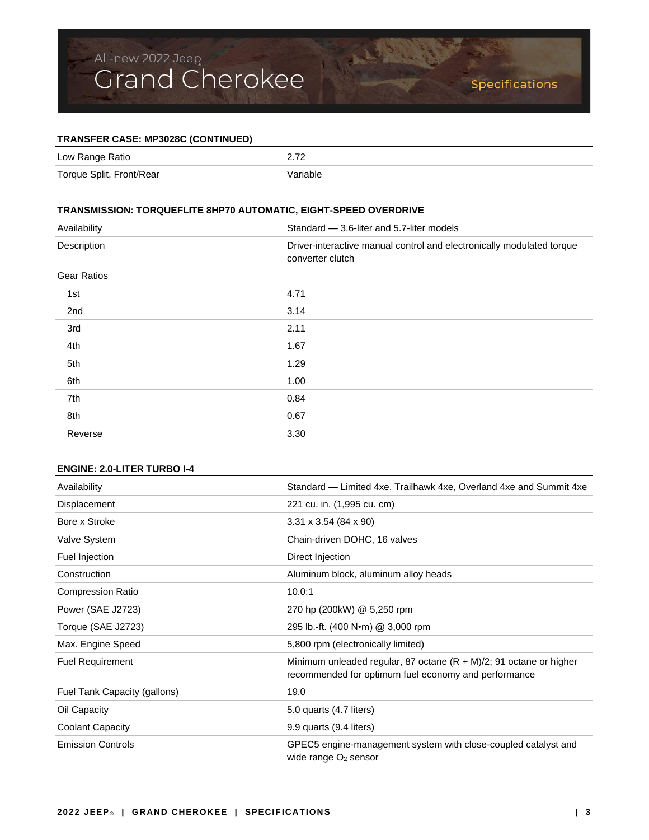## **TRANSFER CASE: MP3028C (CONTINUED)**

| Low Range Ratio          | רי ר     |
|--------------------------|----------|
| Torque Split, Front/Rear | Variable |

## **TRANSMISSION: TORQUEFLITE 8HP70 AUTOMATIC, EIGHT-SPEED OVERDRIVE**

| Availability       | Standard - 3.6-liter and 5.7-liter models                                                 |
|--------------------|-------------------------------------------------------------------------------------------|
| Description        | Driver-interactive manual control and electronically modulated torque<br>converter clutch |
| <b>Gear Ratios</b> |                                                                                           |
| 1st                | 4.71                                                                                      |
| 2nd                | 3.14                                                                                      |
| 3rd                | 2.11                                                                                      |
| 4th                | 1.67                                                                                      |
| 5th                | 1.29                                                                                      |
| 6th                | 1.00                                                                                      |
| 7th                | 0.84                                                                                      |
| 8th                | 0.67                                                                                      |
| Reverse            | 3.30                                                                                      |

## **ENGINE: 2.0-LITER TURBO I-4**

| Availability                 | Standard — Limited 4xe, Trailhawk 4xe, Overland 4xe and Summit 4xe                                                            |
|------------------------------|-------------------------------------------------------------------------------------------------------------------------------|
| Displacement                 | 221 cu. in. (1,995 cu. cm)                                                                                                    |
| Bore x Stroke                | $3.31 \times 3.54$ (84 x 90)                                                                                                  |
| Valve System                 | Chain-driven DOHC, 16 valves                                                                                                  |
| Fuel Injection               | Direct Injection                                                                                                              |
| Construction                 | Aluminum block, aluminum alloy heads                                                                                          |
| <b>Compression Ratio</b>     | 10.0:1                                                                                                                        |
| Power (SAE J2723)            | 270 hp (200kW) @ 5,250 rpm                                                                                                    |
| Torque (SAE J2723)           | 295 lb.-ft. (400 N•m) @ 3,000 rpm                                                                                             |
| Max. Engine Speed            | 5,800 rpm (electronically limited)                                                                                            |
| <b>Fuel Requirement</b>      | Minimum unleaded regular, 87 octane $(R + M)/2$ ; 91 octane or higher<br>recommended for optimum fuel economy and performance |
| Fuel Tank Capacity (gallons) | 19.0                                                                                                                          |
| Oil Capacity                 | 5.0 quarts (4.7 liters)                                                                                                       |
| Coolant Capacity             | 9.9 quarts (9.4 liters)                                                                                                       |
| <b>Emission Controls</b>     | GPEC5 engine-management system with close-coupled catalyst and<br>wide range $O2$ sensor                                      |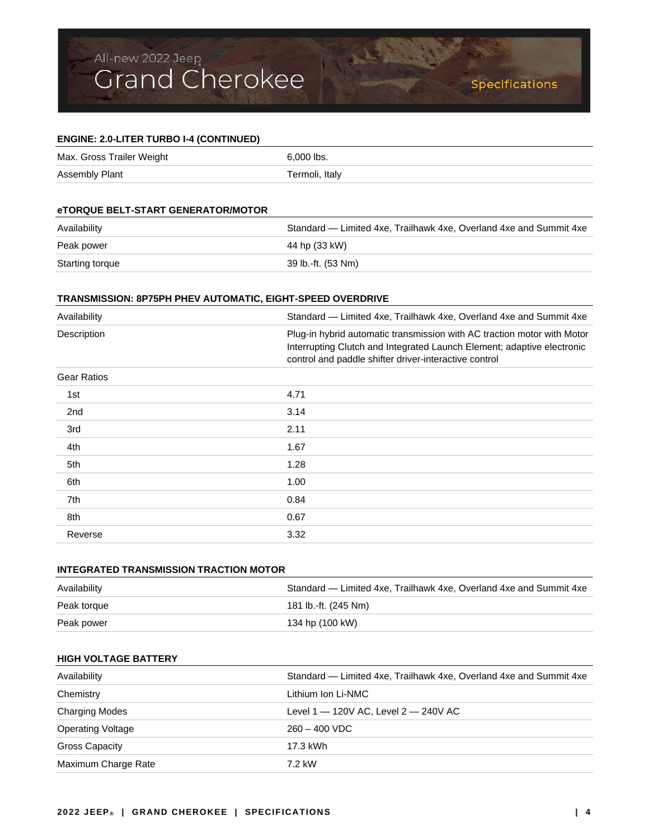## **ENGINE: 2.0-LITER TURBO I-4 (CONTINUED)** Max. Gross Trailer Weight 6,000 lbs. Assembly Plant Termoli, Italy

## **eTORQUE BELT-START GENERATOR/MOTOR**

| Availability    | Standard — Limited 4xe, Trailhawk 4xe, Overland 4xe and Summit 4xe |
|-----------------|--------------------------------------------------------------------|
| Peak power      | 44 hp (33 kW)                                                      |
| Starting torque | 39 lb.-ft. (53 Nm)                                                 |

## **TRANSMISSION: 8P75PH PHEV AUTOMATIC, EIGHT-SPEED OVERDRIVE**

| Availability       | Standard - Limited 4xe, Trailhawk 4xe, Overland 4xe and Summit 4xe                                                                                                                                         |
|--------------------|------------------------------------------------------------------------------------------------------------------------------------------------------------------------------------------------------------|
| Description        | Plug-in hybrid automatic transmission with AC traction motor with Motor<br>Interrupting Clutch and Integrated Launch Element; adaptive electronic<br>control and paddle shifter driver-interactive control |
| <b>Gear Ratios</b> |                                                                                                                                                                                                            |
| 1st                | 4.71                                                                                                                                                                                                       |
| 2 <sub>nd</sub>    | 3.14                                                                                                                                                                                                       |
| 3rd                | 2.11                                                                                                                                                                                                       |
| 4th                | 1.67                                                                                                                                                                                                       |
| 5th                | 1.28                                                                                                                                                                                                       |
| 6th                | 1.00                                                                                                                                                                                                       |
| 7th                | 0.84                                                                                                                                                                                                       |
| 8th                | 0.67                                                                                                                                                                                                       |
| Reverse            | 3.32                                                                                                                                                                                                       |

| INTEGRATED TRANSMISSION TRACTION MOTOR |                                                                    |
|----------------------------------------|--------------------------------------------------------------------|
| Availability                           | Standard — Limited 4xe, Trailhawk 4xe, Overland 4xe and Summit 4xe |
| Peak torque                            | 181 lb.-ft. (245 Nm)                                               |
| Peak power                             | 134 hp (100 kW)                                                    |

## **HIGH VOLTAGE BATTERY**

| Availability             | Standard — Limited 4xe, Trailhawk 4xe, Overland 4xe and Summit 4xe |
|--------------------------|--------------------------------------------------------------------|
| Chemistry                | Lithium Ion Li-NMC                                                 |
| <b>Charging Modes</b>    | Level $1 - 120V$ AC, Level $2 - 240V$ AC                           |
| <b>Operating Voltage</b> | $260 - 400$ VDC                                                    |
| <b>Gross Capacity</b>    | 17.3 kWh                                                           |
| Maximum Charge Rate      | 7.2 kW                                                             |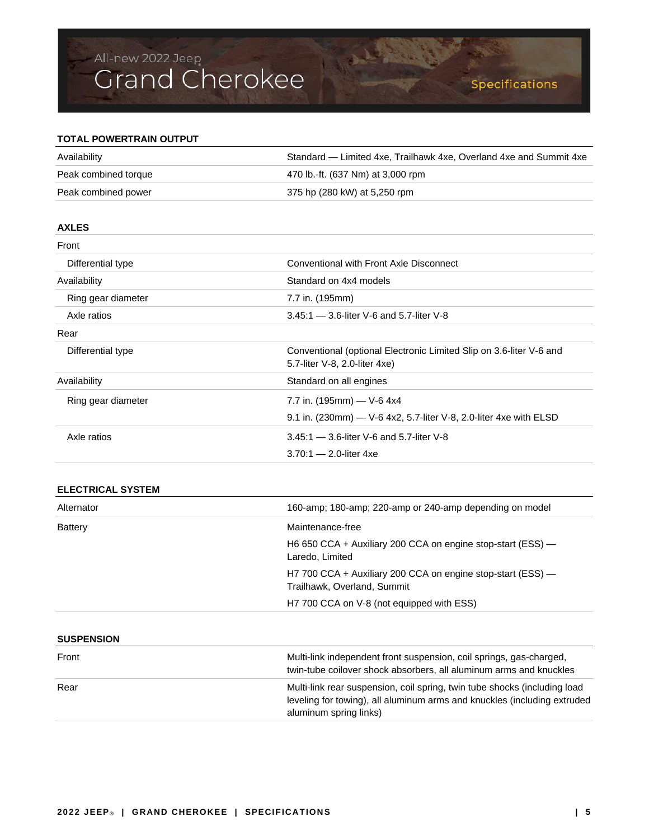## Specifications

## **TOTAL POWERTRAIN OUTPUT**

| Availability         | Standard — Limited 4xe, Trailhawk 4xe, Overland 4xe and Summit 4xe |
|----------------------|--------------------------------------------------------------------|
| Peak combined torque | 470 lb.-ft. (637 Nm) at 3,000 rpm                                  |
| Peak combined power  | 375 hp (280 kW) at 5,250 rpm                                       |

BANKERS !

| <b>AXLES</b>       |                                                                                                      |
|--------------------|------------------------------------------------------------------------------------------------------|
| Front              |                                                                                                      |
| Differential type  | Conventional with Front Axle Disconnect                                                              |
| Availability       | Standard on 4x4 models                                                                               |
| Ring gear diameter | 7.7 in. (195mm)                                                                                      |
| Axle ratios        | $3.45:1 - 3.6$ -liter V-6 and 5.7-liter V-8                                                          |
| Rear               |                                                                                                      |
| Differential type  | Conventional (optional Electronic Limited Slip on 3.6-liter V-6 and<br>5.7-liter V-8, 2.0-liter 4xe) |
| Availability       | Standard on all engines                                                                              |
| Ring gear diameter | 7.7 in. $(195mm)$ - V-6 4x4                                                                          |
|                    | 9.1 in. (230mm) - V-6 4x2, 5.7-liter V-8, 2.0-liter 4xe with ELSD                                    |
| Axle ratios        | $3.45:1 - 3.6$ -liter V-6 and 5.7-liter V-8                                                          |
|                    | $3.70:1 - 2.0$ -liter 4xe                                                                            |

## **ELECTRICAL SYSTEM**

| Alternator        | 160-amp; 180-amp; 220-amp or 240-amp depending on model                                                                                                                         |
|-------------------|---------------------------------------------------------------------------------------------------------------------------------------------------------------------------------|
| <b>Battery</b>    | Maintenance-free                                                                                                                                                                |
|                   | H6 650 CCA + Auxiliary 200 CCA on engine stop-start (ESS) —<br>Laredo, Limited                                                                                                  |
|                   | H7 700 CCA + Auxiliary 200 CCA on engine stop-start (ESS) —<br>Trailhawk, Overland, Summit                                                                                      |
|                   | H7 700 CCA on V-8 (not equipped with ESS)                                                                                                                                       |
| <b>SUSPENSION</b> |                                                                                                                                                                                 |
| Front             | Multi-link independent front suspension, coil springs, gas-charged,<br>twin-tube coilover shock absorbers, all aluminum arms and knuckles                                       |
| Rear              | Multi-link rear suspension, coil spring, twin tube shocks (including load<br>leveling for towing), all aluminum arms and knuckles (including extruded<br>aluminum spring links) |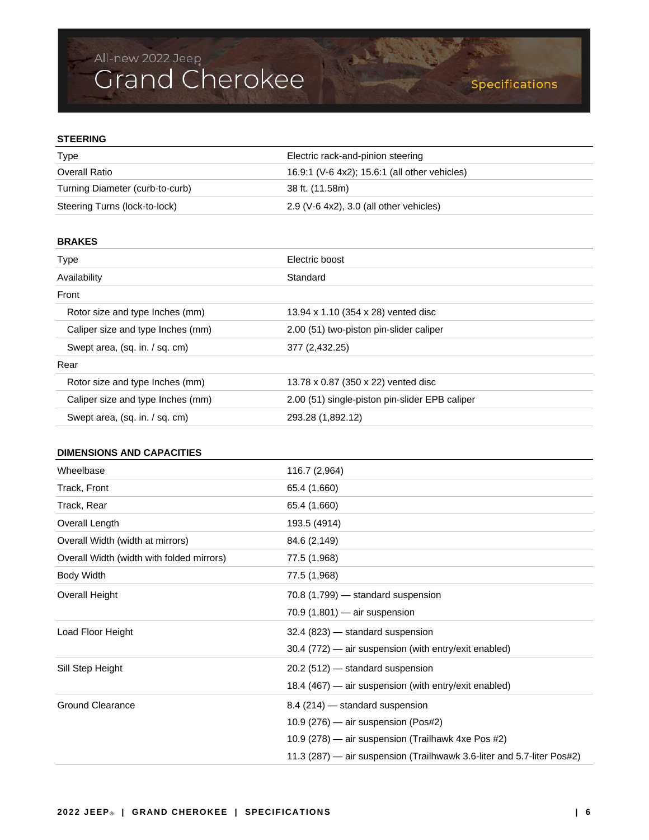## **STEERING**

| Type                            | Electric rack-and-pinion steering             |  |
|---------------------------------|-----------------------------------------------|--|
| Overall Ratio                   | 16.9:1 (V-6 4x2); 15.6:1 (all other vehicles) |  |
| Turning Diameter (curb-to-curb) | 38 ft. (11.58m)                               |  |
| Steering Turns (lock-to-lock)   | $2.9$ (V-6 4x2), 3.0 (all other vehicles)     |  |

Waller S

## **BRAKES**

| <b>Type</b>                       | Electric boost                                 |
|-----------------------------------|------------------------------------------------|
| Availability                      | Standard                                       |
| Front                             |                                                |
| Rotor size and type Inches (mm)   | 13.94 x 1.10 (354 x 28) vented disc            |
| Caliper size and type Inches (mm) | 2.00 (51) two-piston pin-slider caliper        |
| Swept area, (sq. in. / sq. cm)    | 377 (2,432.25)                                 |
| Rear                              |                                                |
| Rotor size and type Inches (mm)   | 13.78 x 0.87 (350 x 22) vented disc            |
| Caliper size and type Inches (mm) | 2.00 (51) single-piston pin-slider EPB caliper |
| Swept area, (sq. in. / sq. cm)    | 293.28 (1,892.12)                              |
|                                   |                                                |

## **DIMENSIONS AND CAPACITIES**

| Wheelbase                                 | 116.7 (2,964)                                                          |
|-------------------------------------------|------------------------------------------------------------------------|
| Track, Front                              | 65.4 (1,660)                                                           |
| Track, Rear                               | 65.4 (1,660)                                                           |
| Overall Length                            | 193.5 (4914)                                                           |
| Overall Width (width at mirrors)          | 84.6 (2,149)                                                           |
| Overall Width (width with folded mirrors) | 77.5 (1,968)                                                           |
| <b>Body Width</b>                         | 77.5 (1,968)                                                           |
| <b>Overall Height</b>                     | 70.8 (1,799) - standard suspension                                     |
|                                           | $70.9(1,801)$ - air suspension                                         |
| Load Floor Height                         | 32.4 (823) - standard suspension                                       |
|                                           | 30.4 (772) — air suspension (with entry/exit enabled)                  |
| Sill Step Height                          | 20.2 (512) - standard suspension                                       |
|                                           | 18.4 (467) — air suspension (with entry/exit enabled)                  |
| <b>Ground Clearance</b>                   | 8.4 (214) - standard suspension                                        |
|                                           | 10.9 $(276)$ — air suspension (Pos#2)                                  |
|                                           | 10.9 (278) - air suspension (Trailhawk 4xe Pos #2)                     |
|                                           | 11.3 (287) — air suspension (Trailhwawk 3.6-liter and 5.7-liter Pos#2) |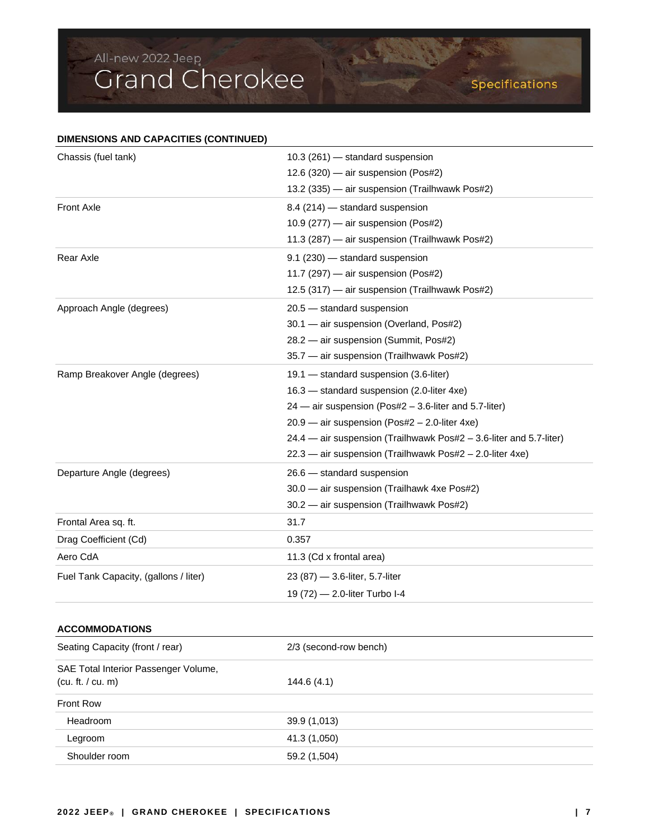| DIMENSIONS AND CAPACITIES (CONTINUED) |                                                                    |  |  |
|---------------------------------------|--------------------------------------------------------------------|--|--|
| Chassis (fuel tank)                   | 10.3 (261) — standard suspension                                   |  |  |
|                                       | $12.6(320)$ — air suspension (Pos#2)                               |  |  |
|                                       | 13.2 (335) - air suspension (Trailhwawk Pos#2)                     |  |  |
| <b>Front Axle</b>                     | 8.4 (214) – standard suspension                                    |  |  |
|                                       | 10.9 (277) - air suspension (Pos#2)                                |  |  |
|                                       | 11.3 (287) - air suspension (Trailhwawk Pos#2)                     |  |  |
| Rear Axle                             | 9.1 (230) — standard suspension                                    |  |  |
|                                       | 11.7 (297) - air suspension (Pos#2)                                |  |  |
|                                       | 12.5 (317) - air suspension (Trailhwawk Pos#2)                     |  |  |
| Approach Angle (degrees)              | 20.5 - standard suspension                                         |  |  |
|                                       | 30.1 - air suspension (Overland, Pos#2)                            |  |  |
|                                       | 28.2 - air suspension (Summit, Pos#2)                              |  |  |
|                                       | 35.7 — air suspension (Trailhwawk Pos#2)                           |  |  |
| Ramp Breakover Angle (degrees)        | 19.1 – standard suspension (3.6-liter)                             |  |  |
|                                       | 16.3 - standard suspension (2.0-liter 4xe)                         |  |  |
|                                       | $24$ — air suspension (Pos#2 – 3.6-liter and 5.7-liter)            |  |  |
|                                       | $20.9$ — air suspension (Pos#2 – 2.0-liter 4xe)                    |  |  |
|                                       | 24.4 - air suspension (Trailhwawk Pos#2 - 3.6-liter and 5.7-liter) |  |  |
|                                       | 22.3 - air suspension (Trailhwawk Pos#2 - 2.0-liter 4xe)           |  |  |
| Departure Angle (degrees)             | 26.6 - standard suspension                                         |  |  |
|                                       | 30.0 — air suspension (Trailhawk 4xe Pos#2)                        |  |  |
|                                       | 30.2 - air suspension (Trailhwawk Pos#2)                           |  |  |
| Frontal Area sq. ft.                  | 31.7                                                               |  |  |
| Drag Coefficient (Cd)                 | 0.357                                                              |  |  |
| Aero CdA                              | 11.3 (Cd x frontal area)                                           |  |  |
| Fuel Tank Capacity, (gallons / liter) | 23 (87) — 3.6-liter, 5.7-liter                                     |  |  |
|                                       | 19 (72) - 2.0-liter Turbo I-4                                      |  |  |
| <b>ACCOMMODATIONS</b>                 |                                                                    |  |  |
| Seating Capacity (front / rear)       | 2/3 (second-row bench)                                             |  |  |
| SAE Total Interior Passenger Volume,  |                                                                    |  |  |
| (cu. ft. / cu. m)                     | 144.6 (4.1)                                                        |  |  |

Contractor

| <b>Front Row</b> |              |  |
|------------------|--------------|--|
| Headroom         | 39.9 (1,013) |  |
| Legroom          | 41.3 (1,050) |  |
| Shoulder room    | 59.2 (1,504) |  |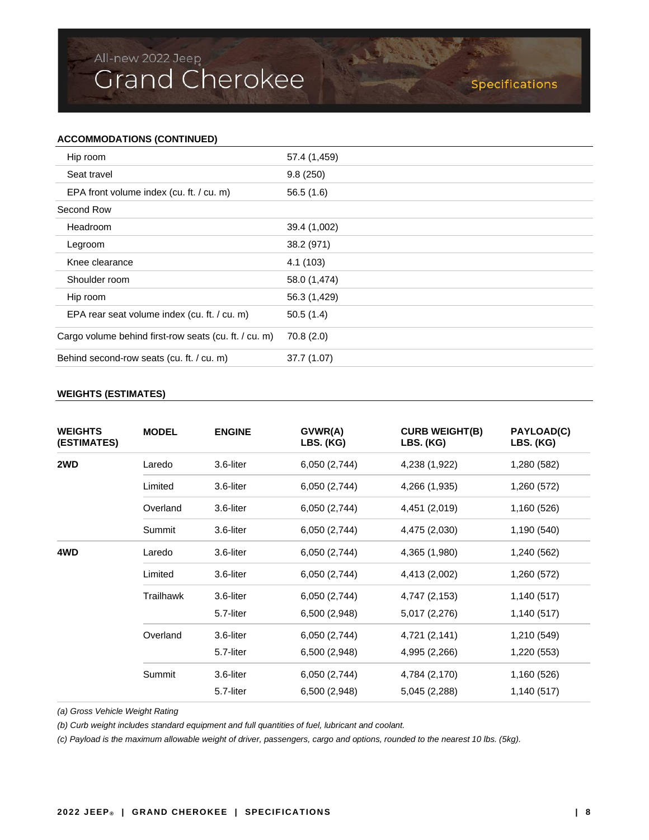## Specifications

## **ACCOMMODATIONS (CONTINUED)**

| Hip room                                              | 57.4 (1,459) |
|-------------------------------------------------------|--------------|
| Seat travel                                           | 9.8(250)     |
| EPA front volume index (cu. ft. / cu. m)              | 56.5(1.6)    |
| Second Row                                            |              |
| Headroom                                              | 39.4 (1,002) |
| Legroom                                               | 38.2 (971)   |
| Knee clearance                                        | 4.1 (103)    |
| Shoulder room                                         | 58.0 (1,474) |
| Hip room                                              | 56.3 (1,429) |
| EPA rear seat volume index (cu. ft. / cu. m)          | 50.5(1.4)    |
| Cargo volume behind first-row seats (cu. ft. / cu. m) | 70.8(2.0)    |
| Behind second-row seats (cu. ft. / cu. m)             | 37.7 (1.07)  |

Bally Bell

### **WEIGHTS (ESTIMATES)**

| <b>WEIGHTS</b><br>(ESTIMATES) | <b>MODEL</b> | <b>ENGINE</b> | GVWR(A)<br>LBS. (KG) | <b>CURB WEIGHT(B)</b><br>LBS. (KG) | PAYLOAD(C)<br>LBS. (KG) |
|-------------------------------|--------------|---------------|----------------------|------------------------------------|-------------------------|
| 2WD                           | Laredo       | 3.6-liter     | 6,050 (2,744)        | 4,238 (1,922)                      | 1,280 (582)             |
|                               | Limited      | 3.6-liter     | 6,050 (2,744)        | 4,266 (1,935)                      | 1,260 (572)             |
|                               | Overland     | 3.6-liter     | 6,050 (2,744)        | 4,451 (2,019)                      | 1,160 (526)             |
|                               | Summit       | 3.6-liter     | 6,050 (2,744)        | 4,475 (2,030)                      | 1,190 (540)             |
| 4WD                           | Laredo       | 3.6-liter     | 6,050 (2,744)        | 4,365 (1,980)                      | 1,240 (562)             |
|                               | Limited      | 3.6-liter     | 6,050 (2,744)        | 4,413 (2,002)                      | 1,260 (572)             |
|                               | Trailhawk    | 3.6-liter     | 6,050 (2,744)        | 4,747 (2,153)                      | 1,140 (517)             |
|                               |              | 5.7-liter     | 6,500 (2,948)        | 5,017 (2,276)                      | 1,140 (517)             |
|                               | Overland     | 3.6-liter     | 6,050 (2,744)        | 4,721 (2,141)                      | 1,210 (549)             |
|                               |              | 5.7-liter     | 6,500 (2,948)        | 4,995 (2,266)                      | 1,220 (553)             |
|                               | Summit       | 3.6-liter     | 6,050 (2,744)        | 4,784 (2,170)                      | 1,160 (526)             |
|                               |              | 5.7-liter     | 6,500 (2,948)        | 5,045 (2,288)                      | 1,140 (517)             |

*(a) Gross Vehicle Weight Rating*

*(b) Curb weight includes standard equipment and full quantities of fuel, lubricant and coolant.*

*(c) Payload is the maximum allowable weight of driver, passengers, cargo and options, rounded to the nearest 10 lbs. (5kg).*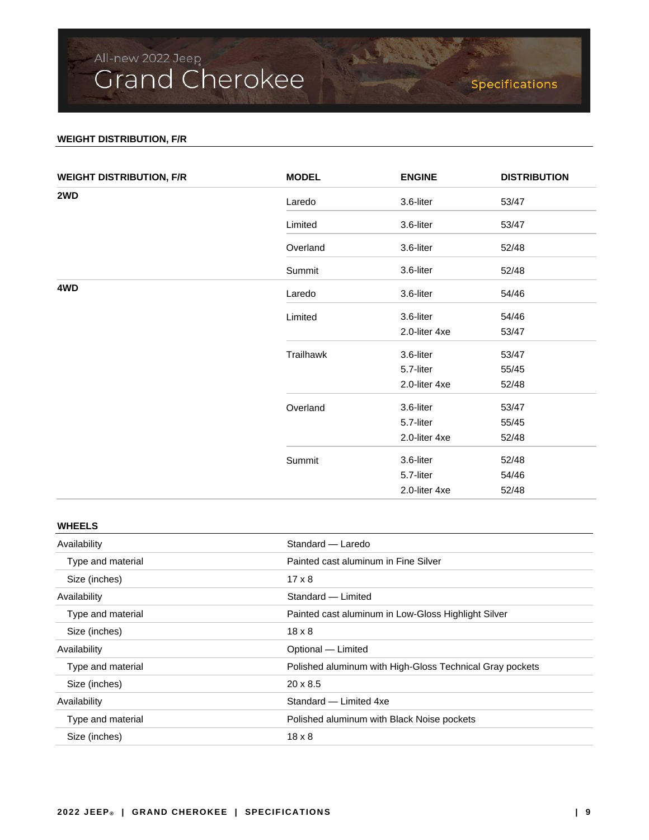## **WEIGHT DISTRIBUTION, F/R**

| <b>WEIGHT DISTRIBUTION, F/R</b> | <b>MODEL</b> | <b>ENGINE</b> | <b>DISTRIBUTION</b> |
|---------------------------------|--------------|---------------|---------------------|
| 2WD                             | Laredo       | 3.6-liter     | 53/47               |
|                                 | Limited      | 3.6-liter     | 53/47               |
|                                 | Overland     | 3.6-liter     | 52/48               |
|                                 | Summit       | 3.6-liter     | 52/48               |
| 4WD                             | Laredo       | 3.6-liter     | 54/46               |
|                                 | Limited      | 3.6-liter     | 54/46               |
|                                 |              | 2.0-liter 4xe | 53/47               |
|                                 | Trailhawk    | 3.6-liter     | 53/47               |
|                                 |              | 5.7-liter     | 55/45               |
|                                 |              | 2.0-liter 4xe | 52/48               |
|                                 | Overland     | 3.6-liter     | 53/47               |
|                                 |              | 5.7-liter     | 55/45               |
|                                 |              | 2.0-liter 4xe | 52/48               |
|                                 | Summit       | 3.6-liter     | 52/48               |
|                                 |              | 5.7-liter     | 54/46               |
|                                 |              | 2.0-liter 4xe | 52/48               |

A. P. P. P. C.

## **WHEELS**

| Availability      | Standard - Laredo                                        |  |
|-------------------|----------------------------------------------------------|--|
| Type and material | Painted cast aluminum in Fine Silver                     |  |
| Size (inches)     | $17 \times 8$                                            |  |
| Availability      | Standard - Limited                                       |  |
| Type and material | Painted cast aluminum in Low-Gloss Highlight Silver      |  |
| Size (inches)     | $18 \times 8$                                            |  |
| Availability      | Optional - Limited                                       |  |
| Type and material | Polished aluminum with High-Gloss Technical Gray pockets |  |
| Size (inches)     | $20 \times 8.5$                                          |  |
| Availability      | Standard - Limited 4xe                                   |  |
| Type and material | Polished aluminum with Black Noise pockets               |  |
| Size (inches)     | $18 \times 8$                                            |  |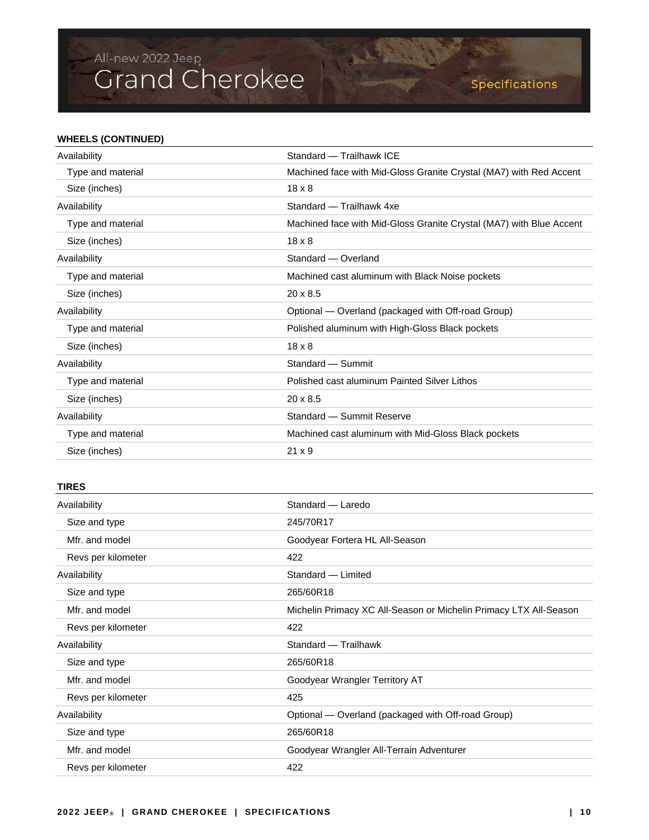## **WHEELS (CONTINUED)**

| Availability      | Standard - Trailhawk ICE                                            |  |  |
|-------------------|---------------------------------------------------------------------|--|--|
| Type and material | Machined face with Mid-Gloss Granite Crystal (MA7) with Red Accent  |  |  |
| Size (inches)     | $18 \times 8$                                                       |  |  |
| Availability      | Standard - Trailhawk 4xe                                            |  |  |
| Type and material | Machined face with Mid-Gloss Granite Crystal (MA7) with Blue Accent |  |  |
| Size (inches)     | $18 \times 8$                                                       |  |  |
| Availability      | Standard - Overland                                                 |  |  |
| Type and material | Machined cast aluminum with Black Noise pockets                     |  |  |
| Size (inches)     | $20 \times 8.5$                                                     |  |  |
| Availability      | Optional — Overland (packaged with Off-road Group)                  |  |  |
| Type and material | Polished aluminum with High-Gloss Black pockets                     |  |  |
| Size (inches)     | $18 \times 8$                                                       |  |  |
| Availability      | Standard - Summit                                                   |  |  |
| Type and material | Polished cast aluminum Painted Silver Lithos                        |  |  |
| Size (inches)     | $20 \times 8.5$                                                     |  |  |
| Availability      | Standard - Summit Reserve                                           |  |  |
| Type and material | Machined cast aluminum with Mid-Gloss Black pockets                 |  |  |
| Size (inches)     | $21 \times 9$                                                       |  |  |

A BALLAS

## **TIRES**

| Availability       | Standard - Laredo                                                 |  |
|--------------------|-------------------------------------------------------------------|--|
| Size and type      | 245/70R17                                                         |  |
| Mfr. and model     | Goodyear Fortera HL All-Season                                    |  |
| Revs per kilometer | 422                                                               |  |
| Availability       | Standard - Limited                                                |  |
| Size and type      | 265/60R18                                                         |  |
| Mfr. and model     | Michelin Primacy XC All-Season or Michelin Primacy LTX All-Season |  |
| Revs per kilometer | 422                                                               |  |
| Availability       | Standard - Trailhawk                                              |  |
|                    | 265/60R18                                                         |  |
| Size and type      |                                                                   |  |
| Mfr. and model     | Goodyear Wrangler Territory AT                                    |  |
| Revs per kilometer | 425                                                               |  |
| Availability       | Optional — Overland (packaged with Off-road Group)                |  |
| Size and type      | 265/60R18                                                         |  |
| Mfr. and model     | Goodyear Wrangler All-Terrain Adventurer                          |  |